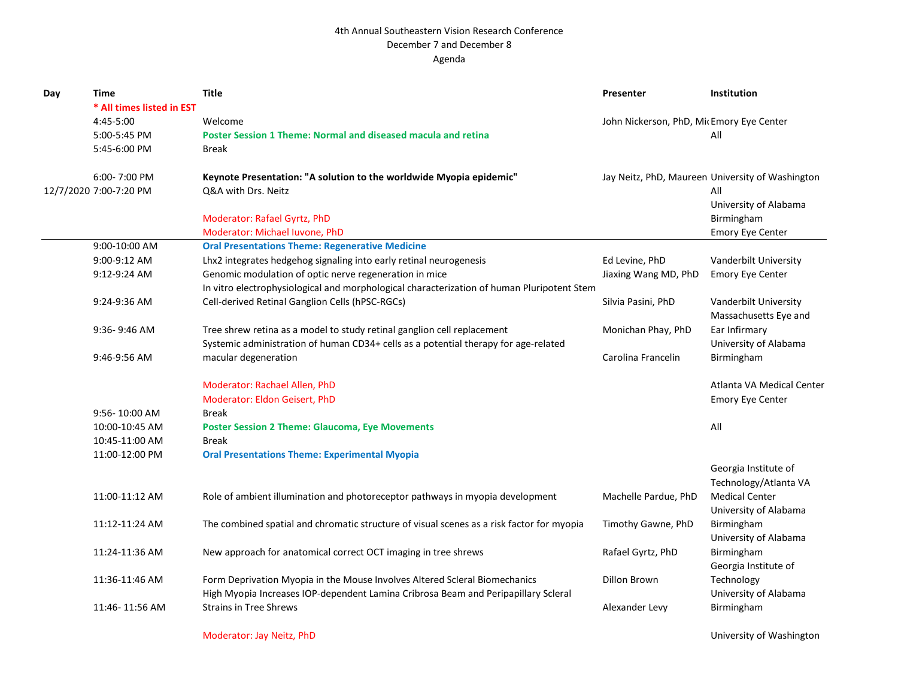## 4th Annual Southeastern Vision Research Conference December 7 and December 8 Agenda

| Day | Time                      | <b>Title</b>                                                                               | Presenter                                | Institution                                      |
|-----|---------------------------|--------------------------------------------------------------------------------------------|------------------------------------------|--------------------------------------------------|
|     | * All times listed in EST |                                                                                            |                                          |                                                  |
|     | 4:45-5:00                 | Welcome                                                                                    | John Nickerson, PhD, MicEmory Eye Center |                                                  |
|     | 5:00-5:45 PM              | Poster Session 1 Theme: Normal and diseased macula and retina                              |                                          | All                                              |
|     | 5:45-6:00 PM              | Break                                                                                      |                                          |                                                  |
|     | 6:00-7:00 PM              | Keynote Presentation: "A solution to the worldwide Myopia epidemic"                        |                                          | Jay Neitz, PhD, Maureen University of Washington |
|     | 12/7/2020 7:00-7:20 PM    | Q&A with Drs. Neitz                                                                        |                                          | All                                              |
|     |                           |                                                                                            |                                          | University of Alabama                            |
|     |                           | Moderator: Rafael Gyrtz, PhD                                                               |                                          | Birmingham                                       |
|     |                           | Moderator: Michael Iuvone, PhD                                                             |                                          | <b>Emory Eye Center</b>                          |
|     | 9:00-10:00 AM             | <b>Oral Presentations Theme: Regenerative Medicine</b>                                     |                                          |                                                  |
|     | 9:00-9:12 AM              | Lhx2 integrates hedgehog signaling into early retinal neurogenesis                         | Ed Levine, PhD                           | Vanderbilt University                            |
|     | 9:12-9:24 AM              | Genomic modulation of optic nerve regeneration in mice                                     | Jiaxing Wang MD, PhD                     | <b>Emory Eye Center</b>                          |
|     |                           | In vitro electrophysiological and morphological characterization of human Pluripotent Stem |                                          |                                                  |
|     | 9:24-9:36 AM              | Cell-derived Retinal Ganglion Cells (hPSC-RGCs)                                            | Silvia Pasini, PhD                       | Vanderbilt University<br>Massachusetts Eye and   |
|     | $9:36 - 9:46$ AM          | Tree shrew retina as a model to study retinal ganglion cell replacement                    | Monichan Phay, PhD                       | Ear Infirmary                                    |
|     |                           | Systemic administration of human CD34+ cells as a potential therapy for age-related        |                                          | University of Alabama                            |
|     | 9:46-9:56 AM              | macular degeneration                                                                       | Carolina Francelin                       | Birmingham                                       |
|     |                           | Moderator: Rachael Allen, PhD                                                              |                                          | Atlanta VA Medical Center                        |
|     |                           | Moderator: Eldon Geisert, PhD                                                              |                                          | <b>Emory Eye Center</b>                          |
|     | 9:56-10:00 AM             | <b>Break</b>                                                                               |                                          |                                                  |
|     | 10:00-10:45 AM            | <b>Poster Session 2 Theme: Glaucoma, Eye Movements</b>                                     |                                          | All                                              |
|     | 10:45-11:00 AM            | Break                                                                                      |                                          |                                                  |
|     | 11:00-12:00 PM            | <b>Oral Presentations Theme: Experimental Myopia</b>                                       |                                          |                                                  |
|     |                           |                                                                                            |                                          | Georgia Institute of                             |
|     |                           |                                                                                            |                                          | Technology/Atlanta VA                            |
|     | 11:00-11:12 AM            | Role of ambient illumination and photoreceptor pathways in myopia development              | Machelle Pardue, PhD                     | <b>Medical Center</b>                            |
|     |                           |                                                                                            |                                          | University of Alabama                            |
|     | 11:12-11:24 AM            | The combined spatial and chromatic structure of visual scenes as a risk factor for myopia  | Timothy Gawne, PhD                       | Birmingham                                       |
|     |                           |                                                                                            |                                          | University of Alabama                            |
|     | 11:24-11:36 AM            | New approach for anatomical correct OCT imaging in tree shrews                             | Rafael Gyrtz, PhD                        | Birmingham                                       |
|     |                           |                                                                                            |                                          | Georgia Institute of                             |
|     | 11:36-11:46 AM            | Form Deprivation Myopia in the Mouse Involves Altered Scleral Biomechanics                 | <b>Dillon Brown</b>                      | Technology                                       |
|     |                           | High Myopia Increases IOP-dependent Lamina Cribrosa Beam and Peripapillary Scleral         |                                          | University of Alabama                            |
|     | 11:46-11:56 AM            | <b>Strains in Tree Shrews</b>                                                              | Alexander Levy                           | Birmingham                                       |
|     |                           |                                                                                            |                                          |                                                  |

Moderator: Jay Neitz, PhD University of Washington